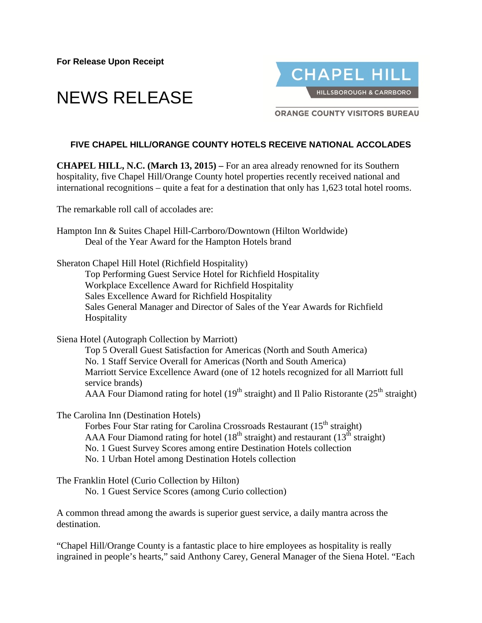**For Release Upon Receipt**





**ORANGE COUNTY VISITORS BUREAU** 

## **FIVE CHAPEL HILL/ORANGE COUNTY HOTELS RECEIVE NATIONAL ACCOLADES**

**CHAPEL HILL, N.C. (March 13, 2015) –** For an area already renowned for its Southern hospitality, five Chapel Hill/Orange County hotel properties recently received national and international recognitions – quite a feat for a destination that only has 1,623 total hotel rooms.

The remarkable roll call of accolades are:

- [Hampton Inn & Suites Chapel Hill-Carrboro/Downtown](http://hamptoninn3.hilton.com/en/hotels/north-carolina/hampton-inn-and-suites-chapel-hill-carrboro-downtown-RDUCOHX/index.html) (Hilton Worldwide) Deal of the Year Award for the Hampton Hotels brand
- Sheraton Chapel Hill Hotel (Richfield Hospitality) Top Performing Guest Service Hotel for Richfield Hospitality Workplace Excellence Award for Richfield Hospitality Sales Excellence Award for Richfield Hospitality Sales General Manager and Director of Sales of the Year Awards for Richfield **Hospitality**

Siena Hotel (Autograph Collection by Marriott)

Top 5 Overall Guest Satisfaction for Americas (North and South America) No. 1 Staff Service Overall for Americas (North and South America) Marriott Service Excellence Award (one of 12 hotels recognized for all Marriott full service brands) AAA Four Diamond rating for hotel  $(19<sup>th</sup> straight)$  and Il Palio Ristorante  $(25<sup>th</sup> straight)$ 

The Carolina Inn (Destination Hotels)

Forbes Four Star rating for Carolina Crossroads Restaurant (15<sup>th</sup> straight) AAA Four Diamond rating for hotel ( $18<sup>th</sup>$  straight) and restaurant ( $13<sup>th</sup>$  straight) No. 1 Guest Survey Scores among entire Destination Hotels collection No. 1 Urban Hotel among Destination Hotels collection

The Franklin Hotel (Curio Collection by Hilton)

No. 1 Guest Service Scores (among Curio collection)

A common thread among the awards is superior guest service, a daily mantra across the destination.

"Chapel Hill/Orange County is a fantastic place to hire employees as hospitality is really ingrained in people's hearts," said Anthony Carey, General Manager of the Siena Hotel. "Each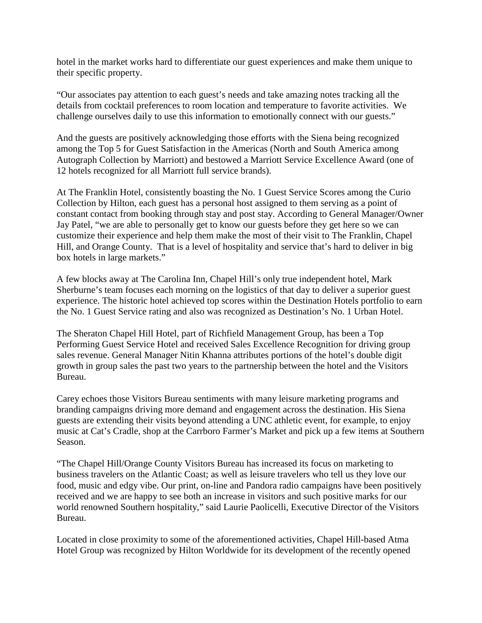hotel in the market works hard to differentiate our guest experiences and make them unique to their specific property.

"Our associates pay attention to each guest's needs and take amazing notes tracking all the details from cocktail preferences to room location and temperature to favorite activities. We challenge ourselves daily to use this information to emotionally connect with our guests."

And the guests are positively acknowledging those efforts with the Siena being recognized among the Top 5 for Guest Satisfaction in the Americas (North and South America among Autograph Collection by Marriott) and bestowed a Marriott Service Excellence Award (one of 12 hotels recognized for all Marriott full service brands).

At The Franklin Hotel, consistently boasting the No. 1 Guest Service Scores among the Curio Collection by Hilton, each guest has a personal host assigned to them serving as a point of constant contact from booking through stay and post stay. According to General Manager/Owner Jay Patel, "we are able to personally get to know our guests before they get here so we can customize their experience and help them make the most of their visit to The Franklin, Chapel Hill, and Orange County. That is a level of hospitality and service that's hard to deliver in big box hotels in large markets."

A few blocks away at The Carolina Inn, Chapel Hill's only true independent hotel, Mark Sherburne's team focuses each morning on the logistics of that day to deliver a superior guest experience. The historic hotel achieved top scores within the Destination Hotels portfolio to earn the No. 1 Guest Service rating and also was recognized as Destination's No. 1 Urban Hotel.

The Sheraton Chapel Hill Hotel, part of Richfield Management Group, has been a Top Performing Guest Service Hotel and received Sales Excellence Recognition for driving group sales revenue. General Manager Nitin Khanna attributes portions of the hotel's double digit growth in group sales the past two years to the partnership between the hotel and the Visitors Bureau.

Carey echoes those Visitors Bureau sentiments with many leisure marketing programs and branding campaigns driving more demand and engagement across the destination. His Siena guests are extending their visits beyond attending a UNC athletic event, for example, to enjoy music at Cat's Cradle, shop at the Carrboro Farmer's Market and pick up a few items at Southern Season.

"The Chapel Hill/Orange County Visitors Bureau has increased its focus on marketing to business travelers on the Atlantic Coast; as well as leisure travelers who tell us they love our food, music and edgy vibe. Our print, on-line and Pandora radio campaigns have been positively received and we are happy to see both an increase in visitors and such positive marks for our world renowned Southern hospitality," said Laurie Paolicelli, Executive Director of the Visitors Bureau.

Located in close proximity to some of the aforementioned activities, Chapel Hill-based Atma Hotel Group was recognized by Hilton Worldwide for its development of the recently opened